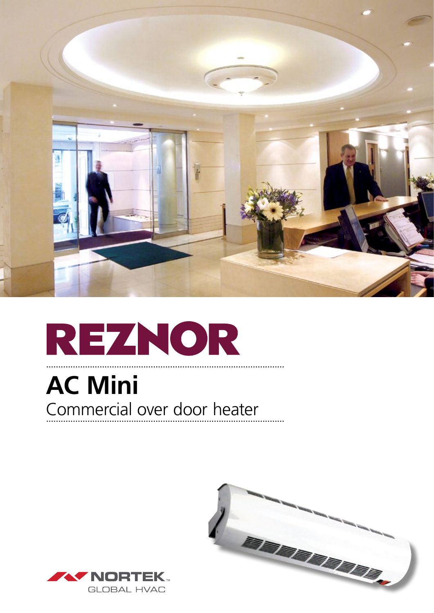

## REZNOR

### **AC Mini** Commercial over door heater